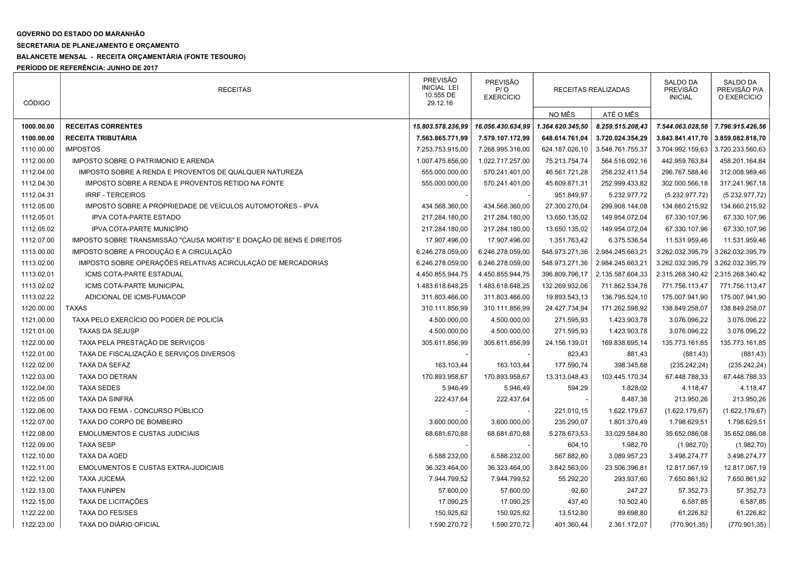## GOVERNO DO ESTADO DO MARANHÃO

## SECRETARIA DE PLANEJAMENTO E ORÇAMENTO

## BALANCETE MENSAL - RECEITA ORÇAMENTÁRIA (FONTE TESOURO)

PERÍODO DE REFERÊNCIA: JUNHO DE 2017

| <b>CÓDIGO</b> | <b>RECEITAS</b>                                                      | <b>PREVISÃO</b><br><b>INICIAL LEI</b><br>10.555 DE<br>29.12.16 | <b>PREVISÃO</b><br>P / O<br><b>EXERCÍCIO</b> | RECEITAS REALIZADAS |                  | <b>SALDO DA</b><br>PREVISÃO<br><b>INICIAL</b> | <b>SALDO DA</b><br>PREVISÃO P/A<br>O EXERCÍCIO |
|---------------|----------------------------------------------------------------------|----------------------------------------------------------------|----------------------------------------------|---------------------|------------------|-----------------------------------------------|------------------------------------------------|
|               |                                                                      |                                                                |                                              | NO MÊS              | ATÉ O MÊS        |                                               |                                                |
| 1000.00.00    | <b>RECEITAS CORRENTES</b>                                            | 15.803.578.236,99                                              | 16.056.430.634,99                            | 1.364.620.345,50    | 8.259.515.208,43 | 7.544.063.028,56                              | 7.796.915.426,56                               |
| 1100.00.00    | RECEITA TRIBUTÁRIA                                                   | 7.563.865.771,99                                               | 7.579.107.172,99                             | 648.614.761,04      | 3.720.024.354,29 | 3.843.841.417,70                              | 3.859.082.818,70                               |
| 1110.00.00    | <b>IMPOSTOS</b>                                                      | 7.253.753.915,00                                               | 7.268.995.316,00                             | 624.187.026,10      | 3.548.761.755,37 | 3.704.992.159,63                              | 3.720.233.560,63                               |
| 1112.00.00    | IMPOSTO SOBRE O PATRIMONIO E ARENDA                                  | 1.007.475.856,00                                               | 1.022.717.257,00                             | 75.213.754,74       | 564.516.092,16   | 442.959.763,84                                | 458.201.164,84                                 |
| 1112.04.00    | IMPOSTO SOBRE A RENDA E PROVENTOS DE QUALQUER NATUREZA               | 555.000.000,00                                                 | 570.241.401,00                               | 46.561.721,28       | 258.232.411,54   | 296.767.588,46                                | 312.008.989,46                                 |
| 1112.04.30    | IMPOSTO SOBRE A RENDA E PROVENTOS RETIDO NA FONTE                    | 555.000.000,00                                                 | 570.241.401,00                               | 45.609.871,31       | 252.999.433,82   | 302.000.566,18                                | 317.241.967,18                                 |
| 1112.04.31    | <b>IRRF - TERCEIROS</b>                                              |                                                                |                                              | 951.849,97          | 5.232.977,72     | (5.232.977, 72)                               | (5.232.977, 72)                                |
| 1112.05.00    | IMPOSTO SOBRE A PROPRIEDADE DE VEÍCULOS AUTOMOTORES - IPVA           | 434.568.360,00                                                 | 434.568.360,00                               | 27.300.270,04       | 299.908.144,08   | 134.660.215,92                                | 134.660.215,92                                 |
| 1112.05.01    | <b>IPVA COTA-PARTE ESTADO</b>                                        | 217.284.180,00                                                 | 217.284.180,00                               | 13.650.135,02       | 149.954.072,04   | 67.330.107,96                                 | 67.330.107,96                                  |
| 1112.05.02    | IPVA COTA-PARTE MUNICÍPIO                                            | 217.284.180,00                                                 | 217.284.180,00                               | 13.650.135,02       | 149.954.072,04   | 67.330.107,96                                 | 67.330.107,96                                  |
| 1112.07.00    | IMPOSTO SOBRE TRANSMISSÃO "CAUSA MORTIS" E DOAÇÃO DE BENS E DIREITOS | 17.907.496,00                                                  | 17.907.496,00                                | 1.351.763,42        | 6.375.536,54     | 11.531.959,46                                 | 11.531.959,46                                  |
| 1113.00.00    | IMPOSTO SOBRE A PRODUÇÃO E A CIRCULAÇÃO                              | 6.246.278.059,00                                               | 6.246.278.059,00                             | 548.973.271,36      | 2.984.245.663,21 | 3.262.032.395,79                              | 3.262.032.395,79                               |
| 1113.02.00    | IMPOSTO SOBRE OPERAÇÕES RELATIVAS ACIRCULAÇÃO DE MERCADORIAS         | 6.246.278.059,00                                               | 6.246.278.059,00                             | 548.973.271,36      | 2.984.245.663,21 | 3.262.032.395,79                              | 3.262.032.395,79                               |
| 1113.02.01    | ICMS COTA-PARTE ESTADUAL                                             | 4.450.855.944,75                                               | 4.450.855.944,75                             | 396.809.796,17      | 2.135.587.604,33 | 2.315.268.340,42                              | 2.315.268.340,42                               |
| 1113.02.02    | ICMS COTA-PARTE MUNICIPAL                                            | 1.483.618.648,25                                               | 1.483.618.648,25                             | 132.269.932,06      | 711.862.534,78   | 771.756.113,47                                | 771.756.113,47                                 |
| 1113.02.22    | ADICIONAL DE ICMS-FUMACOP                                            | 311.803.466,00                                                 | 311.803.466,00                               | 19.893.543,13       | 136.795.524,10   | 175.007.941,90                                | 175.007.941,90                                 |
| 1120.00.00    | <b>TAXAS</b>                                                         | 310.111.856,99                                                 | 310.111.856,99                               | 24.427.734,94       | 171.262.598,92   | 138.849.258,07                                | 138.849.258,07                                 |
| 1121.00.00    | TAXA PELO EXERCÍCIO DO PODER DE POLICÍA                              | 4.500.000,00                                                   | 4.500.000,00                                 | 271.595,93          | 1.423.903,78     | 3.076.096,22                                  | 3.076.096,22                                   |
| 1121.01.00    | <b>TAXAS DA SEJUSP</b>                                               | 4.500.000,00                                                   | 4.500.000,00                                 | 271.595,93          | 1.423.903,78     | 3.076.096,22                                  | 3.076.096,22                                   |
| 1122.00.00    | TAXA PELA PRESTAÇÃO DE SERVIÇOS                                      | 305.611.856,99                                                 | 305.611.856,99                               | 24.156.139,01       | 169.838.695,14   | 135.773.161,85                                | 135.773.161,85                                 |
| 1122.01.00    | TAXA DE FISCALIZAÇÃO E SERVIÇOS DIVERSOS                             |                                                                |                                              | 823,43              | 881,43           | (881, 43)                                     | (881, 43)                                      |
| 1122.02.00    | TAXA DA SEFAZ                                                        | 163.103,44                                                     | 163.103,44                                   | 177.590,74          | 398.345,68       | (235.242, 24)                                 | (235.242, 24)                                  |
| 1122.03.00    | TAXA DO DETRAN                                                       | 170.893.958,67                                                 | 170.893.958,67                               | 13.313.048,43       | 103.445.170,34   | 67.448.788,33                                 | 67.448.788,33                                  |
| 1122.04.00    | <b>TAXA SEDES</b>                                                    | 5.946,49                                                       | 5.946,49                                     | 594,29              | 1.828,02         | 4.118,47                                      | 4.118,47                                       |
| 1122.05.00    | <b>TAXA DA SINFRA</b>                                                | 222.437,64                                                     | 222.437,64                                   |                     | 8.487,38         | 213.950,26                                    | 213.950,26                                     |
| 1122.06.00    | TAXA DO FEMA - CONCURSO PÚBLICO                                      |                                                                |                                              | 221.010,15          | 1.622.179,67     | (1.622.179, 67)                               | (1.622.179, 67)                                |
| 1122.07.00    | TAXA DO CORPO DE BOMBEIRO                                            | 3.600.000,00                                                   | 3.600.000,00                                 | 235.290,07          | 1.801.370,49     | 1.798.629,51                                  | 1.798.629,51                                   |
| 1122.08.00    | <b>EMOLUMENTOS E CUSTAS JUDICIAIS</b>                                | 68.681.670,88                                                  | 68.681.670,88                                | 5.278.673,53        | 33.029.584,80    | 35.652.086,08                                 | 35.652.086,08                                  |
| 1122.09.00    | <b>TAXA SESP</b>                                                     |                                                                |                                              | 604,10              | 1.982,70         | (1.982, 70)                                   | (1.982, 70)                                    |
| 1122.10.00    | <b>TAXA DA AGED</b>                                                  | 6.588.232,00                                                   | 6.588.232,00                                 | 567.882,80          | 3.089.957,23     | 3.498.274,77                                  | 3.498.274,77                                   |
| 1122.11.00    | <b>EMOLUMENTOS E CUSTAS EXTRA-JUDICIAIS</b>                          | 36.323.464,00                                                  | 36.323.464,00                                | 3.842.563,00        | 23.506.396,81    | 12.817.067,19                                 | 12.817.067,19                                  |
| 1122.12.00    | <b>TAXA JUCEMA</b>                                                   | 7.944.799,52                                                   | 7.944.799,52                                 | 55.292,20           | 293.937,60       | 7.650.861,92                                  | 7.650.861,92                                   |
| 1122.13.00    | <b>TAXA FUNPEN</b>                                                   | 57.600,00                                                      | 57.600,00                                    | 92,60               | 247,27           | 57.352,73                                     | 57.352,73                                      |
| 1122.15.00    | TAXA DE LICITAÇÕES                                                   | 17.090,25                                                      | 17.090,25                                    | 437,40              | 10.502,40        | 6.587,85                                      | 6.587,85                                       |
| 1122.22.00    | TAXA DO FES/SES                                                      | 150.925,62                                                     | 150.925,62                                   | 13.512,80           | 89.698,80        | 61.226,82                                     | 61.226,82                                      |
| 1122.23.00    | TAXA DO DIÁRIO OFICIAL                                               | 1.590.270,72                                                   | 1.590.270,72                                 | 401.360,44          | 2.361.172,07     | (770.901, 35)                                 | (770.901, 35)                                  |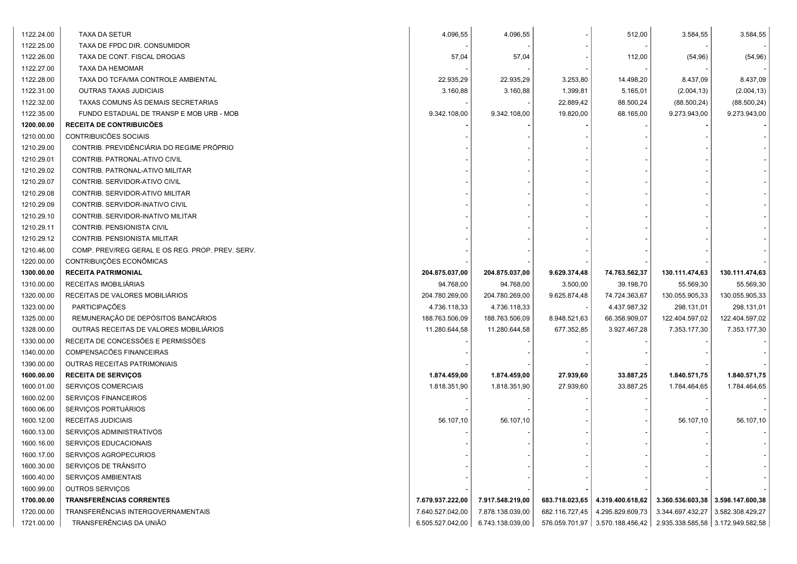| 1122.24.00 | TAXA DA SETUR                                    | 4.096,55         | 4.096,55         |                | 512,00           | 3.584,55                                | 3.584,55         |
|------------|--------------------------------------------------|------------------|------------------|----------------|------------------|-----------------------------------------|------------------|
| 1122.25.00 | TAXA DE FPDC DIR. CONSUMIDOR                     |                  |                  |                |                  |                                         |                  |
| 1122.26.00 | TAXA DE CONT. FISCAL DROGAS                      | 57,04            | 57,04            |                | 112,00           | (54, 96)                                | (54, 96)         |
| 1122.27.00 | TAXA DA HEMOMAR                                  |                  |                  |                |                  |                                         |                  |
| 1122.28.00 | TAXA DO TCFA/MA CONTROLE AMBIENTAL               | 22.935,29        | 22.935,29        | 3.253,80       | 14.498,20        | 8.437,09                                | 8.437,09         |
| 1122.31.00 | <b>OUTRAS TAXAS JUDICIAIS</b>                    | 3.160,88         | 3.160,88         | 1.399,81       | 5.165,01         | (2.004, 13)                             | (2.004, 13)      |
| 1122.32.00 | TAXAS COMUNS ÀS DEMAIS SECRETARIAS               |                  |                  | 22.889,42      | 88.500,24        | (88.500, 24)                            | (88.500, 24)     |
| 1122.35.00 | FUNDO ESTADUAL DE TRANSP E MOB URB - MOB         | 9.342.108,00     | 9.342.108,00     | 19.820,00      | 68.165,00        | 9.273.943,00                            | 9.273.943,00     |
| 1200.00.00 | <b>RECEITA DE CONTRIBUICÕES</b>                  |                  |                  |                |                  |                                         |                  |
| 1210.00.00 | CONTRIBUICÕES SOCIAIS                            |                  |                  |                |                  |                                         |                  |
| 1210.29.00 | CONTRIB. PREVIDÊNCIÁRIA DO REGIME PRÓPRIO        |                  |                  |                |                  |                                         |                  |
| 1210.29.01 | CONTRIB. PATRONAL-ATIVO CIVIL                    |                  |                  |                |                  |                                         |                  |
| 1210.29.02 | CONTRIB. PATRONAL-ATIVO MILITAR                  |                  |                  |                |                  |                                         |                  |
| 1210.29.07 | CONTRIB. SERVIDOR-ATIVO CIVIL                    |                  |                  |                |                  |                                         |                  |
| 1210.29.08 | CONTRIB. SERVIDOR-ATIVO MILITAR                  |                  |                  |                |                  |                                         |                  |
| 1210.29.09 | CONTRIB. SERVIDOR-INATIVO CIVIL                  |                  |                  |                |                  |                                         |                  |
| 1210.29.10 | CONTRIB. SERVIDOR-INATIVO MILITAR                |                  |                  |                |                  |                                         |                  |
| 1210.29.11 | CONTRIB. PENSIONISTA CIVIL                       |                  |                  |                |                  |                                         |                  |
| 1210.29.12 | CONTRIB. PENSIONISTA MILITAR                     |                  |                  |                |                  |                                         |                  |
| 1210.46.00 | COMP. PREV/REG GERAL E OS REG. PROP. PREV. SERV. |                  |                  |                |                  |                                         |                  |
| 1220.00.00 | CONTRIBUIÇÕES ECONÔMICAS                         |                  |                  |                |                  |                                         |                  |
| 1300.00.00 | <b>RECEITA PATRIMONIAL</b>                       | 204.875.037,00   | 204.875.037,00   | 9.629.374,48   | 74.763.562,37    | 130.111.474,63                          | 130.111.474,63   |
| 1310.00.00 | RECEITAS IMOBILIÁRIAS                            | 94.768,00        | 94.768,00        | 3.500,00       | 39.198,70        | 55.569,30                               | 55.569,30        |
| 1320.00.00 | RECEITAS DE VALORES MOBILIÁRIOS                  | 204.780.269,00   | 204.780.269,00   | 9.625.874,48   | 74.724.363,67    | 130.055.905,33                          | 130.055.905,33   |
| 1323.00.00 | PARTICIPAÇÕES                                    | 4.736.118,33     | 4.736.118,33     |                | 4.437.987,32     | 298.131,01                              | 298.131,01       |
| 1325.00.00 | REMUNERAÇÃO DE DEPÓSITOS BANCÁRIOS               | 188.763.506,09   | 188.763.506,09   | 8.948.521,63   | 66.358.909,07    | 122.404.597,02                          | 122.404.597,02   |
| 1328.00.00 | OUTRAS RECEITAS DE VALORES MOBILIÁRIOS           | 11.280.644,58    | 11.280.644,58    | 677.352,85     | 3.927.467,28     | 7.353.177,30                            | 7.353.177,30     |
| 1330.00.00 | RECEITA DE CONCESSÕES E PERMISSÕES               |                  |                  |                |                  |                                         |                  |
| 1340.00.00 | COMPENSACÕES FINANCEIRAS                         |                  |                  |                |                  |                                         |                  |
| 1390.00.00 | OUTRAS RECEITAS PATRIMONIAIS                     |                  |                  |                |                  |                                         |                  |
| 1600.00.00 | <b>RECEITA DE SERVIÇOS</b>                       | 1.874.459,00     | 1.874.459,00     | 27.939,60      | 33.887,25        | 1.840.571,75                            | 1.840.571,75     |
| 1600.01.00 | SERVIÇOS COMERCIAIS                              | 1.818.351,90     | 1.818.351,90     | 27.939,60      | 33.887,25        | 1.784.464,65                            | 1.784.464,65     |
| 1600.02.00 | <b>SERVICOS FINANCEIROS</b>                      |                  |                  |                |                  |                                         |                  |
| 1600.06.00 | SERVIÇOS PORTUÁRIOS                              |                  |                  |                |                  |                                         |                  |
| 1600.12.00 | <b>RECEITAS JUDICIAIS</b>                        | 56.107,10        | 56.107,10        |                |                  | 56.107,10                               | 56.107,10        |
| 1600.13.00 | SERVIÇOS ADMINISTRATIVOS                         |                  |                  |                |                  |                                         |                  |
| 1600.16.00 | <b>SERVICOS EDUCACIONAIS</b>                     |                  |                  |                |                  |                                         |                  |
| 1600.17.00 | SERVIÇOS AGROPECURIOS                            |                  |                  |                |                  |                                         |                  |
| 1600.30.00 | SERVIÇOS DE TRÂNSITO                             |                  |                  |                |                  |                                         |                  |
| 1600.40.00 | SERVIÇOS AMBIENTAIS                              |                  |                  |                |                  |                                         |                  |
| 1600.99.00 | OUTROS SERVIÇOS                                  |                  |                  |                |                  |                                         |                  |
| 1700.00.00 | <b>TRANSFERÊNCIAS CORRENTES</b>                  | 7.679.937.222,00 | 7.917.548.219,00 | 683.718.023,65 | 4.319.400.618,62 | $3.360.536.603,38$   $3.598.147.600,38$ |                  |
| 1720.00.00 | TRANSFERÊNCIAS INTERGOVERNAMENTAIS               | 7.640.527.042,00 | 7.878.138.039,00 | 682.116.727,45 | 4.295.829.609,73 | 3.344.697.432,27                        | 3.582.308.429,27 |
| 1721.00.00 | TRANSFERÊNCIAS DA UNIÃO                          | 6.505.527.042,00 | 6.743.138.039,00 | 576.059.701,97 | 3.570.188.456,42 | 2.935.338.585,58 3.172.949.582,58       |                  |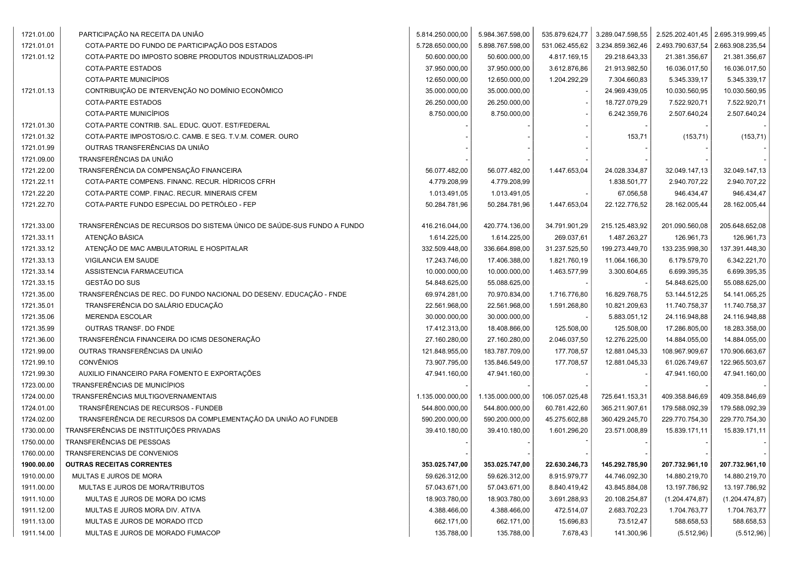| 1721.01.00 | PARTICIPAÇÃO NA RECEITA DA UNIÃO                                       | 5.814.250.000,00 | 5.984.367.598,00 | 535.879.624,77 | 3.289.047.598,55 | 2.525.202.401,45   2.695.319.999,45 |                  |
|------------|------------------------------------------------------------------------|------------------|------------------|----------------|------------------|-------------------------------------|------------------|
| 1721.01.01 | COTA-PARTE DO FUNDO DE PARTICIPAÇÃO DOS ESTADOS                        | 5.728.650.000,00 | 5.898.767.598,00 | 531.062.455,62 | 3.234.859.362,46 | 2.493.790.637,54                    | 2.663.908.235,54 |
| 1721.01.12 | COTA-PARTE DO IMPOSTO SOBRE PRODUTOS INDUSTRIALIZADOS-IPI              | 50.600.000,00    | 50.600.000,00    | 4.817.169,15   | 29.218.643,33    | 21.381.356,67                       | 21.381.356,67    |
|            | COTA-PARTE ESTADOS                                                     | 37.950.000,00    | 37.950.000,00    | 3.612.876,86   | 21.913.982,50    | 16.036.017,50                       | 16.036.017,50    |
|            | COTA-PARTE MUNICÍPIOS                                                  | 12.650.000,00    | 12.650.000,00    | 1.204.292,29   | 7.304.660,83     | 5.345.339,17                        | 5.345.339,17     |
| 1721.01.13 | CONTRIBUIÇÃO DE INTERVENÇÃO NO DOMÍNIO ECONÔMICO                       | 35.000.000,00    | 35.000.000,00    |                | 24.969.439,05    | 10.030.560,95                       | 10.030.560,95    |
|            | COTA-PARTE ESTADOS                                                     | 26.250.000,00    | 26.250.000,00    |                | 18.727.079,29    | 7.522.920,71                        | 7.522.920,71     |
|            | COTA-PARTE MUNICÍPIOS                                                  | 8.750.000,00     | 8.750.000,00     |                | 6.242.359,76     | 2.507.640,24                        | 2.507.640,24     |
| 1721.01.30 | COTA-PARTE CONTRIB. SAL. EDUC. QUOT. EST/FEDERAL                       |                  |                  |                |                  |                                     |                  |
| 1721.01.32 | COTA-PARTE IMPOSTOS/O.C. CAMB. E SEG. T.V.M. COMER. OURO               |                  |                  |                | 153,71           | (153, 71)                           | (153, 71)        |
| 1721.01.99 | OUTRAS TRANSFERÊNCIAS DA UNIÃO                                         |                  |                  |                |                  |                                     |                  |
| 1721.09.00 | TRANSFERÊNCIAS DA UNIÃO                                                |                  |                  |                |                  |                                     |                  |
| 1721.22.00 | TRANSFERÊNCIA DA COMPENSAÇÃO FINANCEIRA                                | 56.077.482,00    | 56.077.482,00    | 1.447.653,04   | 24.028.334,87    | 32.049.147,13                       | 32.049.147,13    |
| 1721.22.11 | COTA-PARTE COMPENS. FINANC. RECUR. HÍDRICOS CFRH                       | 4.779.208,99     | 4.779.208,99     |                | 1.838.501,77     | 2.940.707,22                        | 2.940.707,22     |
| 1721.22.20 | COTA-PARTE COMP. FINAC. RECUR. MINERAIS CFEM                           | 1.013.491,05     | 1.013.491,05     |                | 67.056,58        | 946.434,47                          | 946.434,47       |
| 1721.22.70 | COTA-PARTE FUNDO ESPECIAL DO PETRÓLEO - FEP                            | 50.284.781,96    | 50.284.781,96    | 1.447.653,04   | 22.122.776,52    | 28.162.005,44                       | 28.162.005,44    |
|            |                                                                        |                  |                  |                |                  |                                     |                  |
| 1721.33.00 | TRANSFERÊNCIAS DE RECURSOS DO SISTEMA ÚNICO DE SAÚDE-SUS FUNDO A FUNDO | 416.216.044,00   | 420.774.136,00   | 34.791.901,29  | 215.125.483,92   | 201.090.560,08                      | 205.648.652,08   |
| 1721.33.11 | ATENÇÃO BÁSICA                                                         | 1.614.225,00     | 1.614.225,00     | 269.037,61     | 1.487.263,27     | 126.961,73                          | 126.961,73       |
| 1721.33.12 | ATENÇÃO DE MAC AMBULATORIAL E HOSPITALAR                               | 332.509.448,00   | 336.664.898,00   | 31.237.525,50  | 199.273.449,70   | 133.235.998,30                      | 137.391.448,30   |
| 1721.33.13 | VIGILANCIA EM SAUDE                                                    | 17.243.746,00    | 17.406.388,00    | 1.821.760,19   | 11.064.166,30    | 6.179.579,70                        | 6.342.221,70     |
| 1721.33.14 | ASSISTENCIA FARMACEUTICA                                               | 10.000.000,00    | 10.000.000,00    | 1.463.577,99   | 3.300.604,65     | 6.699.395,35                        | 6.699.395,35     |
| 1721.33.15 | GESTÃO DO SUS                                                          | 54.848.625,00    | 55.088.625,00    |                |                  | 54.848.625,00                       | 55.088.625,00    |
| 1721.35.00 | TRANSFERÊNCIAS DE REC. DO FUNDO NACIONAL DO DESENV. EDUCAÇÃO - FNDE    | 69.974.281,00    | 70.970.834,00    | 1.716.776,80   | 16.829.768,75    | 53.144.512,25                       | 54.141.065,25    |
| 1721.35.01 | TRANSFERÊNCIA DO SALÁRIO EDUCAÇÃO                                      | 22.561.968,00    | 22.561.968,00    | 1.591.268,80   | 10.821.209,63    | 11.740.758,37                       | 11.740.758,37    |
| 1721.35.06 | <b>MERENDA ESCOLAR</b>                                                 | 30.000.000,00    | 30.000.000,00    |                | 5.883.051,12     | 24.116.948,88                       | 24.116.948,88    |
| 1721.35.99 | OUTRAS TRANSF. DO FNDE                                                 | 17.412.313,00    | 18.408.866,00    | 125.508,00     | 125.508,00       | 17.286.805,00                       | 18.283.358,00    |
| 1721.36.00 | TRANSFERÊNCIA FINANCEIRA DO ICMS DESONERAÇÃO                           | 27.160.280,00    | 27.160.280,00    | 2.046.037,50   | 12.276.225,00    | 14.884.055,00                       | 14.884.055,00    |
| 1721.99.00 | OUTRAS TRANSFERÊNCIAS DA UNIÃO                                         | 121.848.955,00   | 183.787.709,00   | 177.708,57     | 12.881.045,33    | 108.967.909,67                      | 170.906.663,67   |
| 1721.99.10 | <b>CONVÊNIOS</b>                                                       | 73.907.795,00    | 135.846.549,00   | 177.708,57     | 12.881.045,33    | 61.026.749,67                       | 122.965.503,67   |
| 1721.99.30 | AUXILIO FINANCEIRO PARA FOMENTO E EXPORTAÇÕES                          | 47.941.160,00    | 47.941.160,00    |                |                  | 47.941.160,00                       | 47.941.160,00    |
| 1723.00.00 | TRANSFERÊNCIAS DE MUNICÍPIOS                                           |                  |                  |                |                  |                                     |                  |
| 1724.00.00 | TRANSFERÊNCIAS MULTIGOVERNAMENTAIS                                     | 1.135.000.000,00 | 1.135.000.000,00 | 106.057.025,48 | 725.641.153,31   | 409.358.846,69                      | 409.358.846,69   |
| 1724.01.00 | TRANSFÊRENCIAS DE RECURSOS - FUNDEB                                    | 544.800.000,00   | 544.800.000,00   | 60.781.422,60  | 365.211.907,61   | 179.588.092,39                      | 179.588.092,39   |
| 1724.02.00 | TRANSFERÊNCIA DE RECURSOS DA COMPLEMENTAÇÃO DA UNIÃO AO FUNDEB         | 590.200.000,00   | 590.200.000,00   | 45.275.602,88  | 360.429.245,70   | 229.770.754,30                      | 229.770.754,30   |
| 1730.00.00 | TRANSFERÊNCIAS DE INSTITUIÇÕES PRIVADAS                                | 39.410.180,00    | 39.410.180,00    | 1.601.296,20   | 23.571.008,89    | 15.839.171,11                       | 15.839.171,11    |
| 1750.00.00 | TRANSFERÊNCIAS DE PESSOAS                                              |                  |                  |                |                  |                                     |                  |
| 1760.00.00 | TRANSFERENCIAS DE CONVENIOS                                            |                  |                  |                |                  |                                     |                  |
| 1900.00.00 | <b>OUTRAS RECEITAS CORRENTES</b>                                       | 353.025.747,00   | 353.025.747,00   | 22.630.246,73  | 145.292.785,90   | 207.732.961,10                      | 207.732.961,10   |
| 1910.00.00 | MULTAS E JUROS DE MORA                                                 | 59.626.312,00    | 59.626.312,00    | 8.915.979,77   | 44.746.092,30    | 14.880.219,70                       | 14.880.219,70    |
| 1911.00.00 | MULTAS E JUROS DE MORA/TRIBUTOS                                        | 57.043.671,00    | 57.043.671,00    | 8.840.419,42   | 43.845.884,08    | 13.197.786,92                       | 13.197.786,92    |
| 1911.10.00 | MULTAS E JUROS DE MORA DO ICMS                                         | 18.903.780,00    | 18.903.780,00    | 3.691.288,93   | 20.108.254,87    | (1.204.474, 87)                     | (1.204.474, 87)  |
| 1911.12.00 | MULTAS E JUROS MORA DIV. ATIVA                                         | 4.388.466,00     | 4.388.466,00     | 472.514,07     | 2.683.702,23     | 1.704.763,77                        | 1.704.763,77     |
| 1911.13.00 | MULTAS E JUROS DE MORADO ITCD                                          | 662.171,00       | 662.171,00       | 15.696,83      | 73.512,47        | 588.658,53                          | 588.658,53       |
| 1911.14.00 | MULTAS E JUROS DE MORADO FUMACOP                                       | 135.788,00       | 135.788,00       | 7.678,43       | 141.300,96       | (5.512,96)                          | (5.512, 96)      |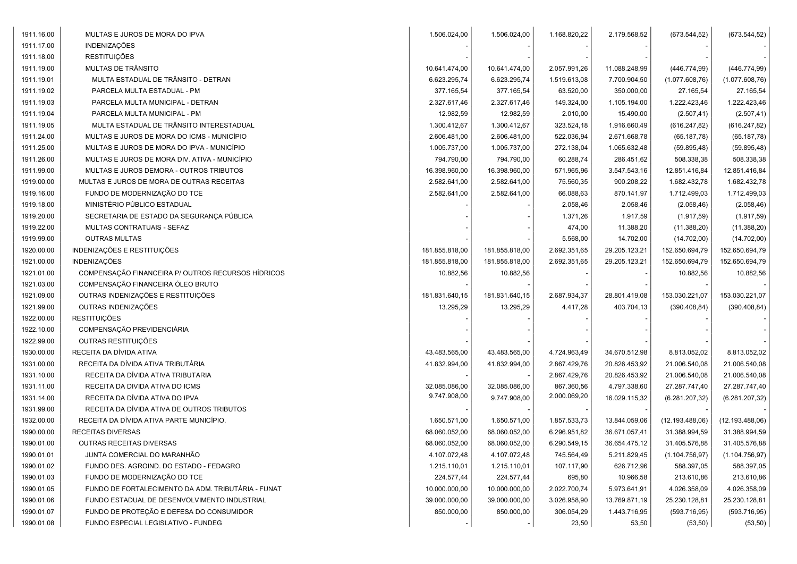| 1911.16.00 | MULTAS E JUROS DE MORA DO IPVA                     | 1.506.024,00   | 1.506.024,00   | 1.168.820,22 | 2.179.568,52  | (673.544, 52)   | (673.544, 52)   |
|------------|----------------------------------------------------|----------------|----------------|--------------|---------------|-----------------|-----------------|
| 1911.17.00 | <b>INDENIZAÇÕES</b>                                |                |                |              |               |                 |                 |
| 1911.18.00 | <b>RESTITUIÇÕES</b>                                |                |                |              |               |                 |                 |
| 1911.19.00 | MULTAS DE TRÂNSITO                                 | 10.641.474,00  | 10.641.474,00  | 2.057.991,26 | 11.088.248,99 | (446.774,99)    | (446.774,99)    |
| 1911.19.01 | MULTA ESTADUAL DE TRÂNSITO - DETRAN                | 6.623.295.74   | 6.623.295,74   | 1.519.613,08 | 7.700.904,50  | (1.077.608, 76) | (1.077.608, 76) |
| 1911.19.02 | PARCELA MULTA ESTADUAL - PM                        | 377.165,54     | 377.165,54     | 63.520,00    | 350.000,00    | 27.165,54       | 27.165,54       |
| 1911.19.03 | PARCELA MULTA MUNICIPAL - DETRAN                   | 2.327.617,46   | 2.327.617,46   | 149.324,00   | 1.105.194,00  | 1.222.423,46    | 1.222.423,46    |
| 1911.19.04 | PARCELA MULTA MUNICIPAL - PM                       | 12.982,59      | 12.982,59      | 2.010,00     | 15.490,00     | (2.507, 41)     | (2.507, 41)     |
| 1911.19.05 | MULTA ESTADUAL DE TRÂNSITO INTERESTADUAL           | 1.300.412,67   | 1.300.412,67   | 323.524,18   | 1.916.660,49  | (616.247, 82)   | (616.247, 82)   |
| 1911.24.00 | MULTAS E JUROS DE MORA DO ICMS - MUNICÍPIO         | 2.606.481,00   | 2.606.481,00   | 522.036,94   | 2.671.668,78  | (65.187,78)     | (65.187,78)     |
| 1911.25.00 | MULTAS E JUROS DE MORA DO IPVA - MUNICÍPIO         | 1.005.737,00   | 1.005.737,00   | 272.138,04   | 1.065.632,48  | (59.895, 48)    | (59.895, 48)    |
| 1911.26.00 | MULTAS E JUROS DE MORA DIV. ATIVA - MUNICÍPIO      | 794.790,00     | 794.790,00     | 60.288,74    | 286.451,62    | 508.338,38      | 508.338,38      |
| 1911.99.00 | MULTAS E JUROS DEMORA - OUTROS TRIBUTOS            | 16.398.960,00  | 16.398.960,00  | 571.965,96   | 3.547.543,16  | 12.851.416,84   | 12.851.416,84   |
| 1919.00.00 | MULTAS E JUROS DE MORA DE OUTRAS RECEITAS          | 2.582.641,00   | 2.582.641,00   | 75.560,35    | 900.208,22    | 1.682.432,78    | 1.682.432,78    |
| 1919.16.00 | FUNDO DE MODERNIZAÇÃO DO TCE                       | 2.582.641,00   | 2.582.641,00   | 66.088,63    | 870.141,97    | 1.712.499,03    | 1.712.499,03    |
| 1919.18.00 | MINISTÉRIO PÚBLICO ESTADUAL                        |                |                | 2.058,46     | 2.058,46      | (2.058, 46)     | (2.058, 46)     |
| 1919.20.00 | SECRETARIA DE ESTADO DA SEGURANÇA PÚBLICA          |                |                | 1.371,26     | 1.917,59      | (1.917, 59)     | (1.917, 59)     |
| 1919.22.00 | MULTAS CONTRATUAIS - SEFAZ                         |                |                | 474,00       | 11.388,20     | (11.388, 20)    | (11.388, 20)    |
| 1919.99.00 | <b>OUTRAS MULTAS</b>                               |                |                | 5.568,00     | 14.702,00     | (14.702,00)     | (14.702,00)     |
| 1920.00.00 | INDENIZAÇÕES E RESTITUIÇÕES                        | 181.855.818,00 | 181.855.818,00 | 2.692.351,65 | 29.205.123,21 | 152.650.694,79  | 152.650.694,79  |
| 1921.00.00 | <b>INDENIZAÇÕES</b>                                | 181.855.818,00 | 181.855.818,00 | 2.692.351,65 | 29.205.123,21 | 152.650.694,79  | 152.650.694,79  |
| 1921.01.00 | COMPENSAÇÃO FINANCEIRA P/ OUTROS RECURSOS HÍDRICOS | 10.882,56      | 10.882,56      |              |               | 10.882,56       | 10.882,56       |
| 1921.03.00 | COMPENSAÇÃO FINANCEIRA ÓLEO BRUTO                  |                |                |              |               |                 |                 |
| 1921.09.00 | OUTRAS INDENIZAÇÕES E RESTITUIÇÕES                 | 181.831.640,15 | 181.831.640,15 | 2.687.934,37 | 28.801.419,08 | 153.030.221,07  | 153.030.221,07  |
| 1921.99.00 | OUTRAS INDENIZAÇÕES                                | 13.295,29      | 13.295,29      | 4.417,28     | 403.704,13    | (390.408, 84)   | (390.408, 84)   |
| 1922.00.00 | <b>RESTITUIÇÕES</b>                                |                |                |              |               |                 |                 |
| 1922.10.00 | COMPENSAÇÃO PREVIDENCIÁRIA                         |                |                |              |               |                 |                 |
| 1922.99.00 | OUTRAS RESTITUIÇÕES                                |                |                |              |               |                 |                 |
| 1930.00.00 | RECEITA DA DÍVIDA ATIVA                            | 43.483.565,00  | 43.483.565,00  | 4.724.963,49 | 34.670.512,98 | 8.813.052,02    | 8.813.052,02    |
| 1931.00.00 | RECEITA DA DÍVIDA ATIVA TRIBUTÁRIA                 | 41.832.994,00  | 41.832.994,00  | 2.867.429,76 | 20.826.453,92 | 21.006.540,08   | 21.006.540,08   |
| 1931.10.00 | RECEITA DA DÍVIDA ATIVA TRIBUTARIA                 |                |                | 2.867.429,76 | 20.826.453,92 | 21.006.540,08   | 21.006.540,08   |
| 1931.11.00 | RECEITA DA DIVIDA ATIVA DO ICMS                    | 32.085.086,00  | 32.085.086,00  | 867.360,56   | 4.797.338,60  | 27.287.747,40   | 27.287.747,40   |
| 1931.14.00 | RECEITA DA DÍVIDA ATIVA DO IPVA                    | 9.747.908,00   | 9.747.908,00   | 2.000.069,20 | 16.029.115,32 | (6.281.207, 32) | (6.281.207, 32) |
| 1931.99.00 | RECEITA DA DÍVIDA ATIVA DE OUTROS TRIBUTOS         |                |                |              |               |                 |                 |
| 1932.00.00 | RECEITA DA DÍVIDA ATIVA PARTE MUNICÍPIO.           | 1.650.571,00   | 1.650.571,00   | 1.857.533,73 | 13.844.059,06 | (12.193.488,06) | (12.193.488,06) |
| 1990.00.00 | RECEITAS DIVERSAS                                  | 68.060.052,00  | 68.060.052,00  | 6.296.951,82 | 36.671.057,41 | 31.388.994,59   | 31.388.994,59   |
| 1990.01.00 | OUTRAS RECEITAS DIVERSAS                           | 68.060.052,00  | 68.060.052,00  | 6.290.549,15 | 36.654.475,12 | 31.405.576,88   | 31.405.576,88   |
| 1990.01.01 | JUNTA COMERCIAL DO MARANHÃO                        | 4.107.072,48   | 4.107.072,48   | 745.564,49   | 5.211.829,45  | (1.104.756, 97) | (1.104.756, 97) |
| 1990.01.02 | FUNDO DES. AGROIND. DO ESTADO - FEDAGRO            | 1.215.110,01   | 1.215.110,01   | 107.117,90   | 626.712,96    | 588.397,05      | 588.397,05      |
| 1990.01.03 | FUNDO DE MODERNIZAÇÃO DO TCE                       | 224.577,44     | 224.577,44     | 695,80       | 10.966,58     | 213.610,86      | 213.610,86      |
| 1990.01.05 | FUNDO DE FORTALECIMENTO DA ADM. TRIBUTÁRIA - FUNAT | 10.000.000,00  | 10.000.000,00  | 2.022.700,74 | 5.973.641,91  | 4.026.358,09    | 4.026.358,09    |
| 1990.01.06 | FUNDO ESTADUAL DE DESENVOLVIMENTO INDUSTRIAL       | 39.000.000,00  | 39.000.000,00  | 3.026.958,90 | 13.769.871,19 | 25.230.128,81   | 25.230.128,81   |
| 1990.01.07 | FUNDO DE PROTEÇÃO E DEFESA DO CONSUMIDOR           | 850.000,00     | 850.000,00     | 306.054,29   | 1.443.716,95  | (593.716, 95)   | (593.716, 95)   |
| 1990.01.08 | FUNDO ESPECIAL LEGISLATIVO - FUNDEG                |                |                | 23,50        | 53,50         | (53, 50)        | (53, 50)        |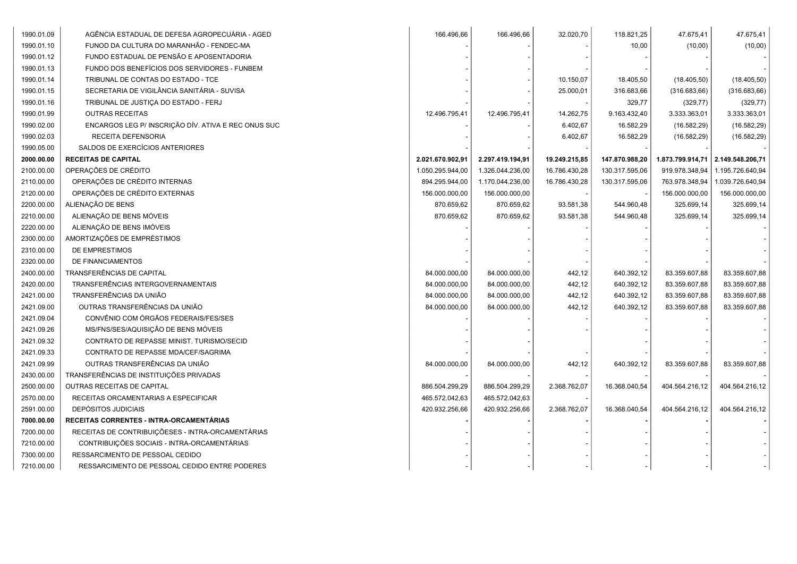| 1990.01.09 | AGÊNCIA ESTADUAL DE DEFESA AGROPECUÁRIA - AGED      | 166.496,66       | 166.496,66       | 32.020,70     | 118.821,25     | 47.675,41      | 47.675,41                         |
|------------|-----------------------------------------------------|------------------|------------------|---------------|----------------|----------------|-----------------------------------|
| 1990.01.10 | FUNOD DA CULTURA DO MARANHÃO - FENDEC-MA            |                  |                  |               | 10,00          | (10,00)        | (10,00)                           |
| 1990.01.12 | FUNDO ESTADUAL DE PENSÃO E APOSENTADORIA            |                  |                  |               |                |                |                                   |
| 1990.01.13 | FUNDO DOS BENEFÍCIOS DOS SERVIDORES - FUNBEM        |                  |                  |               |                |                |                                   |
| 1990.01.14 | TRIBUNAL DE CONTAS DO ESTADO - TCE                  |                  |                  | 10.150,07     | 18.405,50      | (18.405, 50)   | (18.405, 50)                      |
| 1990.01.15 | SECRETARIA DE VIGILÂNCIA SANITÁRIA - SUVISA         |                  |                  | 25.000,01     | 316.683,66     | (316.683, 66)  | (316.683, 66)                     |
| 1990.01.16 | TRIBUNAL DE JUSTIÇA DO ESTADO - FERJ                |                  |                  |               | 329,77         | (329, 77)      | (329, 77)                         |
| 1990.01.99 | <b>OUTRAS RECEITAS</b>                              | 12.496.795,41    | 12.496.795,41    | 14.262,75     | 9.163.432,40   | 3.333.363,01   | 3.333.363,01                      |
| 1990.02.00 | ENCARGOS LEG P/ INSCRIÇÃO DÍV. ATIVA E REC ONUS SUC |                  |                  | 6.402,67      | 16.582,29      | (16.582, 29)   | (16.582, 29)                      |
| 1990.02.03 | RECEITA DEFENSORIA                                  |                  |                  | 6.402,67      | 16.582,29      | (16.582, 29)   | (16.582, 29)                      |
| 1990.05.00 | SALDOS DE EXERCÍCIOS ANTERIORES                     |                  |                  |               |                |                |                                   |
| 2000.00.00 | <b>RECEITAS DE CAPITAL</b>                          | 2.021.670.902,91 | 2.297.419.194,91 | 19.249.215,85 | 147.870.988,20 |                | 1.873.799.914,71 2.149.548.206,71 |
| 2100.00.00 | OPERAÇÕES DE CRÉDITO                                | 1.050.295.944,00 | 1.326.044.236,00 | 16.786.430,28 | 130.317.595,06 | 919.978.348,94 | 1.195.726.640,94                  |
| 2110.00.00 | OPERAÇÕES DE CRÉDITO INTERNAS                       | 894.295.944,00   | 1.170.044.236,00 | 16.786.430,28 | 130.317.595,06 | 763.978.348,94 | 1.039.726.640,94                  |
| 2120.00.00 | OPERAÇÕES DE CRÉDITO EXTERNAS                       | 156.000.000,00   | 156.000.000,00   |               |                | 156.000.000,00 | 156.000.000,00                    |
| 2200.00.00 | ALIENAÇÃO DE BENS                                   | 870.659,62       | 870.659,62       | 93.581,38     | 544.960,48     | 325.699,14     | 325.699,14                        |
| 2210.00.00 | ALIENAÇÃO DE BENS MÓVEIS                            | 870.659,62       | 870.659,62       | 93.581,38     | 544.960,48     | 325.699,14     | 325.699,14                        |
| 2220.00.00 | ALIENAÇÃO DE BENS IMÓVEIS                           |                  |                  |               |                |                |                                   |
| 2300.00.00 | AMORTIZAÇÕES DE EMPRÉSTIMOS                         |                  |                  |               |                |                |                                   |
| 2310.00.00 | DE EMPRESTIMOS                                      |                  |                  |               |                |                |                                   |
| 2320.00.00 | DE FINANCIAMENTOS                                   |                  |                  |               |                |                |                                   |
| 2400.00.00 | TRANSFERÊNCIAS DE CAPITAL                           | 84.000.000,00    | 84.000.000,00    | 442,12        | 640.392,12     | 83.359.607,88  | 83.359.607,88                     |
| 2420.00.00 | TRANSFERÊNCIAS INTERGOVERNAMENTAIS                  | 84.000.000,00    | 84.000.000,00    | 442,12        | 640.392,12     | 83.359.607,88  | 83.359.607,88                     |
| 2421.00.00 | TRANSFERÊNCIAS DA UNIÃO                             | 84.000.000,00    | 84.000.000,00    | 442,12        | 640.392,12     | 83.359.607,88  | 83.359.607,88                     |
| 2421.09.00 | OUTRAS TRANSFERÊNCIAS DA UNIÃO                      | 84.000.000,00    | 84.000.000,00    | 442,12        | 640.392,12     | 83.359.607,88  | 83.359.607,88                     |
| 2421.09.04 | CONVÊNIO COM ÓRGÃOS FEDERAIS/FES/SES                |                  |                  |               |                |                |                                   |
| 2421.09.26 | MS/FNS/SES/AQUISIÇÃO DE BENS MÓVEIS                 |                  |                  |               |                |                |                                   |
| 2421.09.32 | CONTRATO DE REPASSE MINIST. TURISMO/SECID           |                  |                  |               |                |                |                                   |
| 2421.09.33 | CONTRATO DE REPASSE MDA/CEF/SAGRIMA                 |                  |                  |               |                |                |                                   |
| 2421.09.99 | OUTRAS TRANSFERÊNCIAS DA UNIÃO                      | 84.000.000,00    | 84.000.000,00    | 442,12        | 640.392,12     | 83.359.607,88  | 83.359.607,88                     |
| 2430.00.00 | TRANSFERÊNCIAS DE INSTITUIÇÕES PRIVADAS             |                  |                  |               |                |                |                                   |
| 2500.00.00 | <b>OUTRAS RECEITAS DE CAPITAL</b>                   | 886.504.299,29   | 886.504.299,29   | 2.368.762,07  | 16.368.040,54  | 404.564.216,12 | 404.564.216,12                    |
| 2570.00.00 | RECEITAS ORCAMENTARIAS A ESPECIFICAR                | 465.572.042,63   | 465.572.042,63   |               |                |                |                                   |
| 2591.00.00 | <b>DEPÓSITOS JUDICIAIS</b>                          | 420.932.256,66   | 420.932.256,66   | 2.368.762,07  | 16.368.040,54  | 404.564.216,12 | 404.564.216,12                    |
| 7000.00.00 | RECEITAS CORRENTES - INTRA-ORCAMENTÁRIAS            |                  |                  |               |                |                |                                   |
| 7200.00.00 | RECEITAS DE CONTRIBUIÇÕESES - INTRA-ORCAMENTÁRIAS   |                  |                  |               |                |                |                                   |
| 7210.00.00 | CONTRIBUIÇÕES SOCIAIS - INTRA-ORCAMENTÁRIAS         |                  |                  |               |                |                |                                   |
| 7300.00.00 | RESSARCIMENTO DE PESSOAL CEDIDO                     |                  |                  |               |                |                |                                   |
| 7210.00.00 | RESSARCIMENTO DE PESSOAL CEDIDO ENTRE PODERES       |                  |                  |               |                |                |                                   |